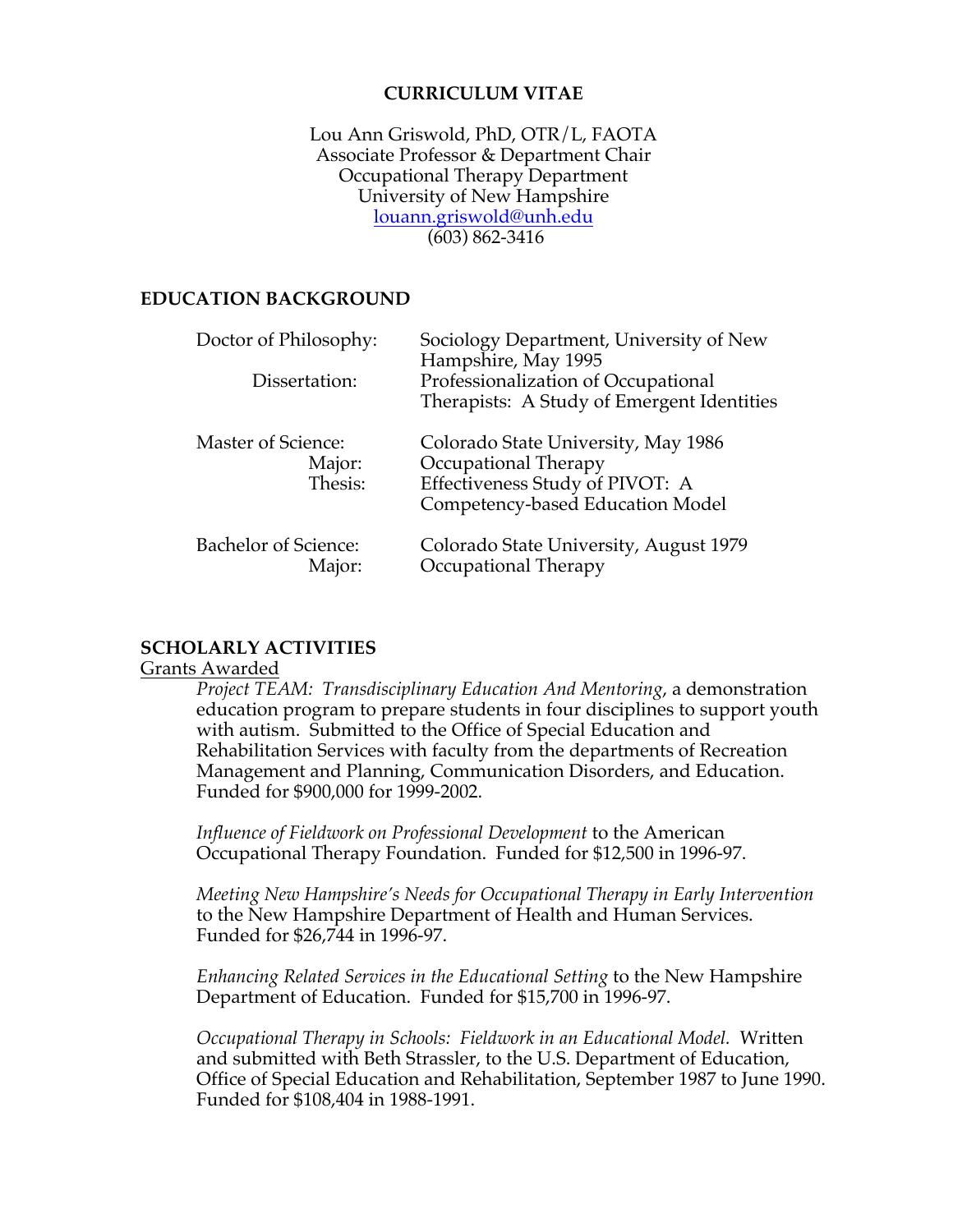## **CURRICULUM VITAE**

Lou Ann Griswold, PhD, OTR/L, FAOTA Associate Professor & Department Chair Occupational Therapy Department University of New Hampshire louann.griswold@unh.edu (603) 862-3416

## **EDUCATION BACKGROUND**

| Doctor of Philosophy:<br>Dissertation:  | Sociology Department, University of New<br>Hampshire, May 1995<br>Professionalization of Occupational<br>Therapists: A Study of Emergent Identities |
|-----------------------------------------|-----------------------------------------------------------------------------------------------------------------------------------------------------|
| Master of Science:<br>Major:<br>Thesis: | Colorado State University, May 1986<br>Occupational Therapy<br>Effectiveness Study of PIVOT: A<br>Competency-based Education Model                  |
| <b>Bachelor of Science:</b><br>Major:   | Colorado State University, August 1979<br>Occupational Therapy                                                                                      |

## **SCHOLARLY ACTIVITIES**

### Grants Awarded

*Project TEAM: Transdisciplinary Education And Mentoring*, a demonstration education program to prepare students in four disciplines to support youth with autism. Submitted to the Office of Special Education and Rehabilitation Services with faculty from the departments of Recreation Management and Planning, Communication Disorders, and Education. Funded for \$900,000 for 1999-2002.

*Influence of Fieldwork on Professional Development* to the American Occupational Therapy Foundation. Funded for \$12,500 in 1996-97.

*Meeting New Hampshire's Needs for Occupational Therapy in Early Intervention* to the New Hampshire Department of Health and Human Services. Funded for \$26,744 in 1996-97.

*Enhancing Related Services in the Educational Setting* to the New Hampshire Department of Education. Funded for \$15,700 in 1996-97.

*Occupational Therapy in Schools: Fieldwork in an Educational Model.* Written and submitted with Beth Strassler, to the U.S. Department of Education, Office of Special Education and Rehabilitation, September 1987 to June 1990. Funded for \$108,404 in 1988-1991.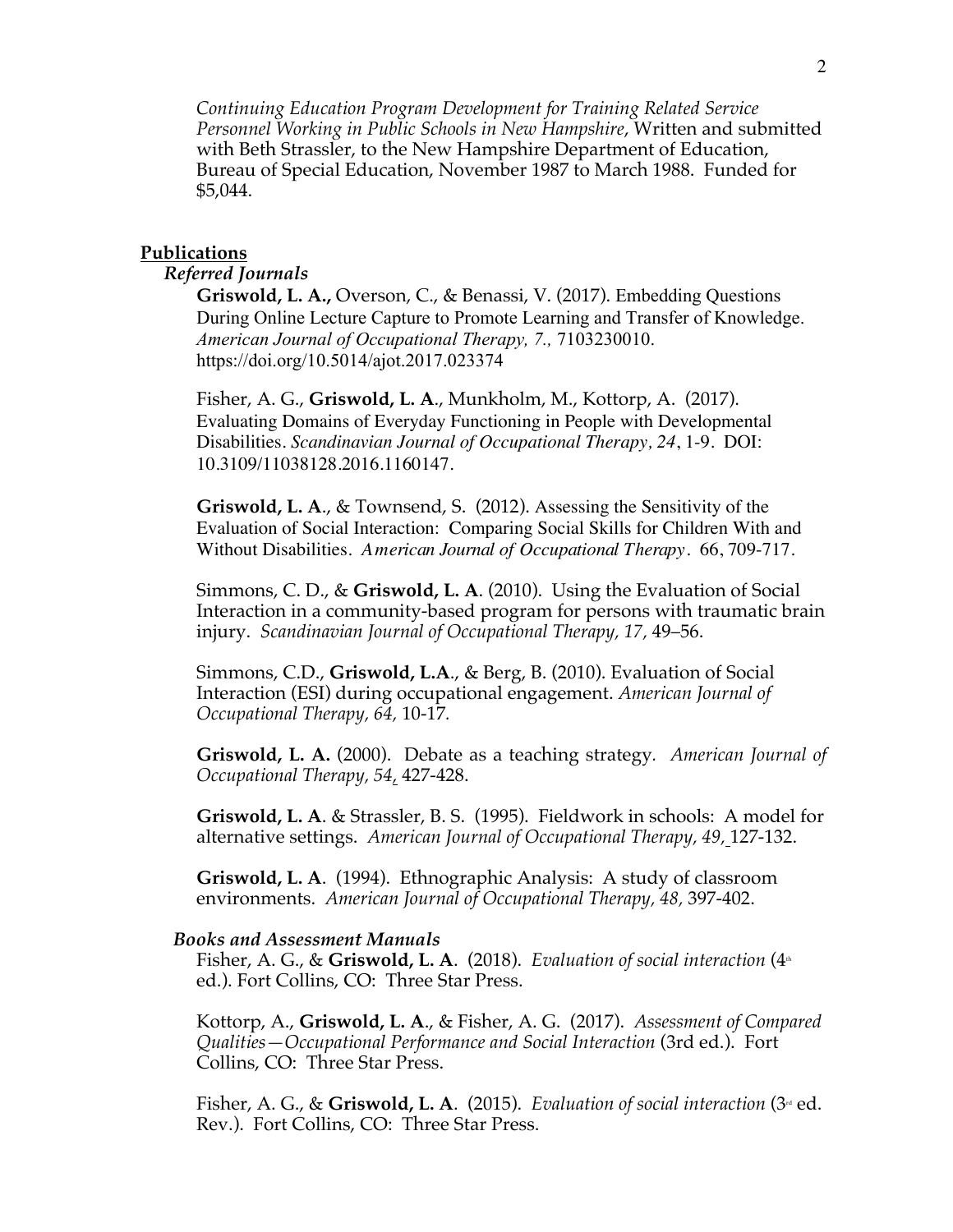*Continuing Education Program Development for Training Related Service Personnel Working in Public Schools in New Hampshire*, Written and submitted with Beth Strassler, to the New Hampshire Department of Education, Bureau of Special Education, November 1987 to March 1988. Funded for \$5,044.

#### **Publications**

## *Referred Journals*

**Griswold, L. A.,** Overson, C., & Benassi, V. (2017). Embedding Questions During Online Lecture Capture to Promote Learning and Transfer of Knowledge. *American Journal of Occupational Therapy, 7.,* 7103230010. https://doi.org/10.5014/ajot.2017.023374

Fisher, A. G., **Griswold, L. A**., Munkholm, M., Kottorp, A. (2017). Evaluating Domains of Everyday Functioning in People with Developmental Disabilities. *Scandinavian Journal of Occupational Therapy, 24*, 1-9. DOI: 10.3109/11038128.2016.1160147.

**Griswold, L. A**., & Townsend, S. (2012). Assessing the Sensitivity of the Evaluation of Social Interaction: Comparing Social Skills for Children With and Without Disabilities. *American Journal of Occupational Therapy*. 66, 709-717.

Simmons, C. D., & **Griswold, L. A**. (2010). Using the Evaluation of Social Interaction in a community-based program for persons with traumatic brain injury. *Scandinavian Journal of Occupational Therapy, 17,* 49–56.

Simmons, C.D., **Griswold, L.A**., & Berg, B. (2010). Evaluation of Social Interaction (ESI) during occupational engagement. *American Journal of Occupational Therapy, 64,* 10-17*.*

**Griswold, L. A.** (2000). Debate as a teaching strategy*. American Journal of Occupational Therapy, 54,* 427-428.

**Griswold, L. A**. & Strassler, B. S. (1995). Fieldwork in schools: A model for alternative settings. *American Journal of Occupational Therapy, 49,* 127-132.

**Griswold, L. A**. (1994). Ethnographic Analysis: A study of classroom environments. *American Journal of Occupational Therapy, 48,* 397-402.

#### *Books and Assessment Manuals*

Fisher, A. G., & Griswold, L. A. (2018). *Evaluation of social interaction* (4<sup>th</sup>) ed.). Fort Collins, CO: Three Star Press.

Kottorp, A., **Griswold, L. A**., & Fisher, A. G. (2017). *Assessment of Compared Qualities—Occupational Performance and Social Interaction* (3rd ed.). Fort Collins, CO: Three Star Press.

Fisher, A. G., & Griswold, L. A. (2015). *Evaluation of social interaction* (3<sup>rd</sup> ed. Rev.). Fort Collins, CO: Three Star Press.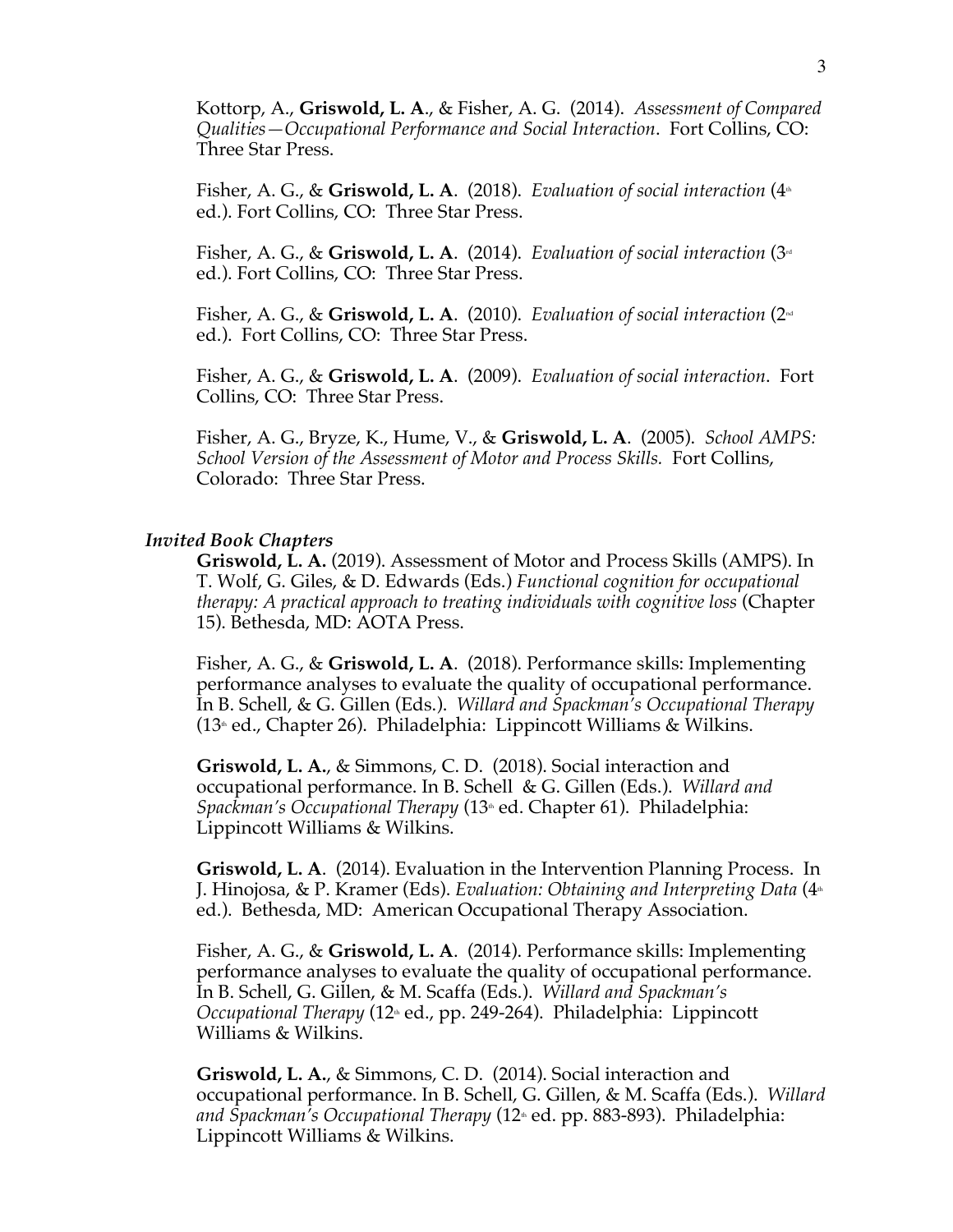Kottorp, A., **Griswold, L. A**., & Fisher, A. G. (2014). *Assessment of Compared Qualities—Occupational Performance and Social Interaction*. Fort Collins, CO: Three Star Press.

Fisher, A. G., & **Griswold, L. A**. (2018). *Evaluation of social interaction* (4<sup>th</sup> ed.). Fort Collins, CO: Three Star Press.

Fisher, A. G., & **Griswold, L. A**. (2014). *Evaluation of social interaction* (3<sup>d</sup> ed.). Fort Collins, CO: Three Star Press.

Fisher, A. G., & **Griswold, L. A**. (2010). *Evaluation of social interaction* (2nd ed.). Fort Collins, CO: Three Star Press.

Fisher, A. G., & **Griswold, L. A**. (2009). *Evaluation of social interaction*. Fort Collins, CO: Three Star Press.

Fisher, A. G., Bryze, K., Hume, V., & **Griswold, L. A**. (2005). *School AMPS: School Version of the Assessment of Motor and Process Skills.* Fort Collins, Colorado: Three Star Press.

#### *Invited Book Chapters*

**Griswold, L. A.** (2019). Assessment of Motor and Process Skills (AMPS). In T. Wolf, G. Giles, & D. Edwards (Eds.) *Functional cognition for occupational therapy: A practical approach to treating individuals with cognitive loss* (Chapter 15). Bethesda, MD: AOTA Press.

Fisher, A. G., & **Griswold, L. A**. (2018). Performance skills: Implementing performance analyses to evaluate the quality of occupational performance. In B. Schell, & G. Gillen (Eds.). *Willard and Spackman's Occupational Therapy*   $(13<sup>th</sup>$  ed., Chapter 26). Philadelphia: Lippincott Williams & Wilkins.

**Griswold, L. A.**, & Simmons, C. D. (2018). Social interaction and occupational performance. In B. Schell & G. Gillen (Eds.). *Willard and Spackman's Occupational Therapy* (13<sup>th</sup> ed. Chapter 61). Philadelphia: Lippincott Williams & Wilkins.

**Griswold, L. A**. (2014). Evaluation in the Intervention Planning Process. In J. Hinojosa, & P. Kramer (Eds). *Evaluation: Obtaining and Interpreting Data* (4<sup>th</sup>) ed.). Bethesda, MD: American Occupational Therapy Association.

Fisher, A. G., & **Griswold, L. A**. (2014). Performance skills: Implementing performance analyses to evaluate the quality of occupational performance. In B. Schell, G. Gillen, & M. Scaffa (Eds.). *Willard and Spackman's Occupational Therapy* (12th ed., pp. 249-264). Philadelphia: Lippincott Williams & Wilkins.

**Griswold, L. A.**, & Simmons, C. D. (2014). Social interaction and occupational performance. In B. Schell, G. Gillen, & M. Scaffa (Eds.). *Willard*  and Spackman's Occupational Therapy (12<sup>th</sup> ed. pp. 883-893). Philadelphia: Lippincott Williams & Wilkins.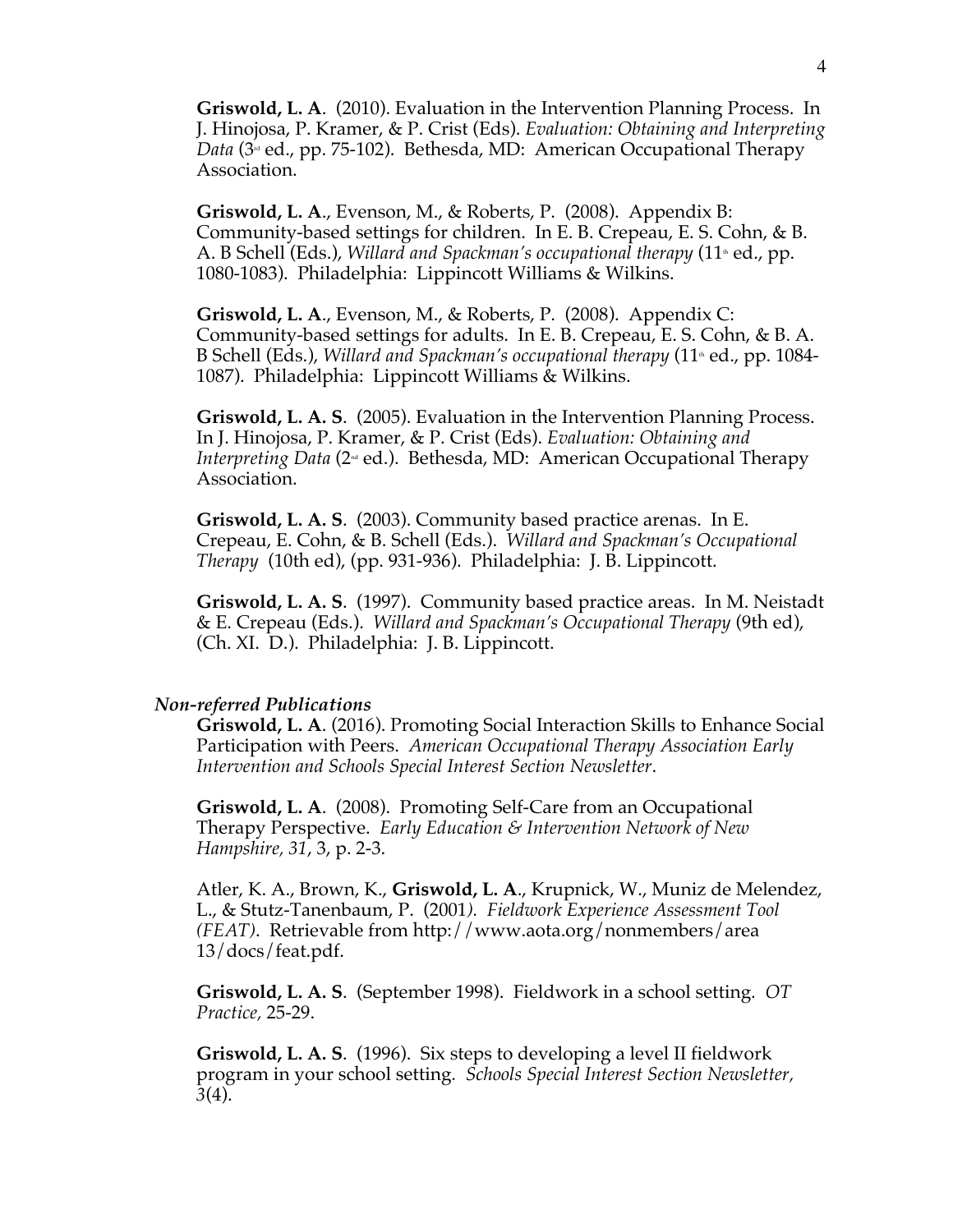**Griswold, L. A**. (2010). Evaluation in the Intervention Planning Process. In J. Hinojosa, P. Kramer, & P. Crist (Eds). *Evaluation: Obtaining and Interpreting Data* ( $3^{\omega}$  ed., pp. 75-102). Bethesda, MD: American Occupational Therapy Association.

**Griswold, L. A**., Evenson, M., & Roberts, P. (2008). Appendix B: Community-based settings for children. In E. B. Crepeau, E. S. Cohn, & B. A. B Schell (Eds.), *Willard and Spackman's occupational therapy* (11<sup>\*</sup> ed., pp. 1080-1083). Philadelphia: Lippincott Williams & Wilkins.

**Griswold, L. A**., Evenson, M., & Roberts, P. (2008). Appendix C: Community-based settings for adults. In E. B. Crepeau, E. S. Cohn, & B. A. B Schell (Eds.), *Willard and Spackman's occupational therapy* (11<sup>\*</sup> ed., pp. 1084-1087). Philadelphia: Lippincott Williams & Wilkins.

**Griswold, L. A. S**. (2005). Evaluation in the Intervention Planning Process. In J. Hinojosa, P. Kramer, & P. Crist (Eds). *Evaluation: Obtaining and Interpreting Data* (2<sup><sub>nd</sub> ed.). Bethesda, MD: American Occupational Therapy</sup> Association.

**Griswold, L. A. S**. (2003). Community based practice arenas. In E. Crepeau, E. Cohn, & B. Schell (Eds.). *Willard and Spackman's Occupational Therapy* (10th ed), (pp. 931-936). Philadelphia: J. B. Lippincott.

**Griswold, L. A. S**. (1997). Community based practice areas. In M. Neistadt & E. Crepeau (Eds.). *Willard and Spackman's Occupational Therapy* (9th ed), (Ch. XI. D.). Philadelphia: J. B. Lippincott.

#### *Non-referred Publications*

**Griswold, L. A**. (2016). Promoting Social Interaction Skills to Enhance Social Participation with Peers. *American Occupational Therapy Association Early Intervention and Schools Special Interest Section Newsletter*.

**Griswold, L. A**. (2008). Promoting Self-Care from an Occupational Therapy Perspective. *Early Education & Intervention Network of New Hampshire, 31*, 3, p. 2-3.

Atler, K. A., Brown, K., **Griswold, L. A**., Krupnick, W., Muniz de Melendez, L., & Stutz-Tanenbaum, P. (2001*). Fieldwork Experience Assessment Tool (FEAT)*. Retrievable from http://www.aota.org/nonmembers/area 13/docs/feat.pdf.

**Griswold, L. A. S**. (September 1998). Fieldwork in a school setting*. OT Practice,* 25-29.

**Griswold, L. A. S**. (1996). Six steps to developing a level II fieldwork program in your school setting*. Schools Special Interest Section Newsletter, 3*(4).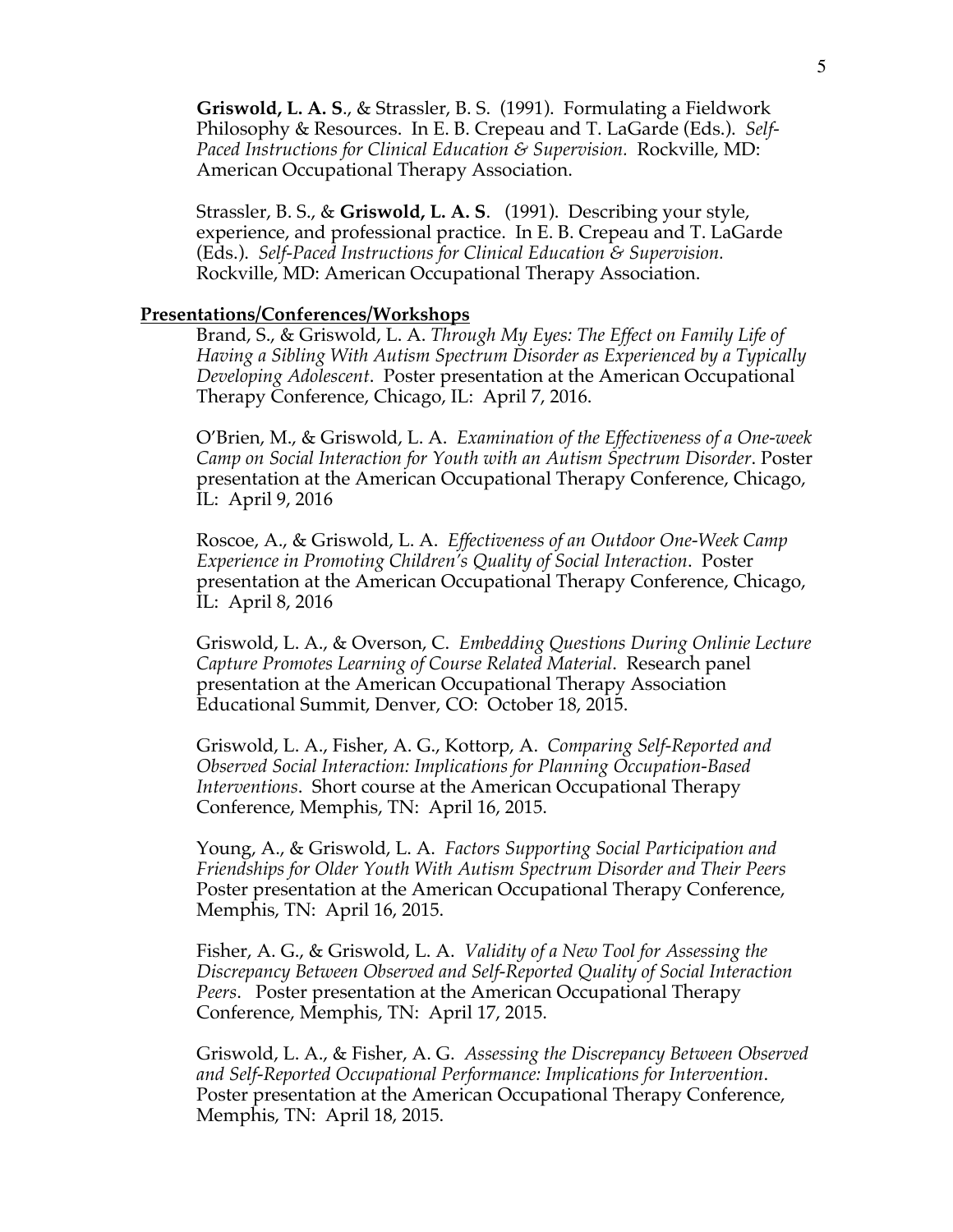**Griswold, L. A. S**., & Strassler, B. S. (1991). Formulating a Fieldwork Philosophy & Resources. In E. B. Crepeau and T. LaGarde (Eds.). *Self-Paced Instructions for Clinical Education & Supervision.* Rockville, MD: American Occupational Therapy Association.

Strassler, B. S., & **Griswold, L. A. S**. (1991). Describing your style, experience, and professional practice. In E. B. Crepeau and T. LaGarde (Eds.). *Self-Paced Instructions for Clinical Education & Supervision.* Rockville, MD: American Occupational Therapy Association.

#### **Presentations/Conferences/Workshops**

Brand, S., & Griswold, L. A. *Through My Eyes: The Effect on Family Life of Having a Sibling With Autism Spectrum Disorder as Experienced by a Typically Developing Adolescent*. Poster presentation at the American Occupational Therapy Conference, Chicago, IL: April 7, 2016.

O'Brien, M., & Griswold, L. A. *Examination of the Effectiveness of a One-week Camp on Social Interaction for Youth with an Autism Spectrum Disorder*. Poster presentation at the American Occupational Therapy Conference, Chicago, IL: April 9, 2016

Roscoe, A., & Griswold, L. A. *Effectiveness of an Outdoor One-Week Camp Experience in Promoting Children's Quality of Social Interaction*. Poster presentation at the American Occupational Therapy Conference, Chicago, IL: April 8, 2016

Griswold, L. A., & Overson, C. *Embedding Questions During Onlinie Lecture Capture Promotes Learning of Course Related Material*. Research panel presentation at the American Occupational Therapy Association Educational Summit, Denver, CO: October 18, 2015.

Griswold, L. A., Fisher, A. G., Kottorp, A. *Comparing Self-Reported and Observed Social Interaction: Implications for Planning Occupation-Based Interventions*. Short course at the American Occupational Therapy Conference, Memphis, TN: April 16, 2015.

Young, A., & Griswold, L. A. *Factors Supporting Social Participation and Friendships for Older Youth With Autism Spectrum Disorder and Their Peers* Poster presentation at the American Occupational Therapy Conference, Memphis, TN: April 16, 2015.

Fisher, A. G., & Griswold, L. A. *Validity of a New Tool for Assessing the Discrepancy Between Observed and Self-Reported Quality of Social Interaction Peers*. Poster presentation at the American Occupational Therapy Conference, Memphis, TN: April 17, 2015.

Griswold, L. A., & Fisher, A. G. *Assessing the Discrepancy Between Observed and Self-Reported Occupational Performance: Implications for Intervention*. Poster presentation at the American Occupational Therapy Conference, Memphis, TN: April 18, 2015.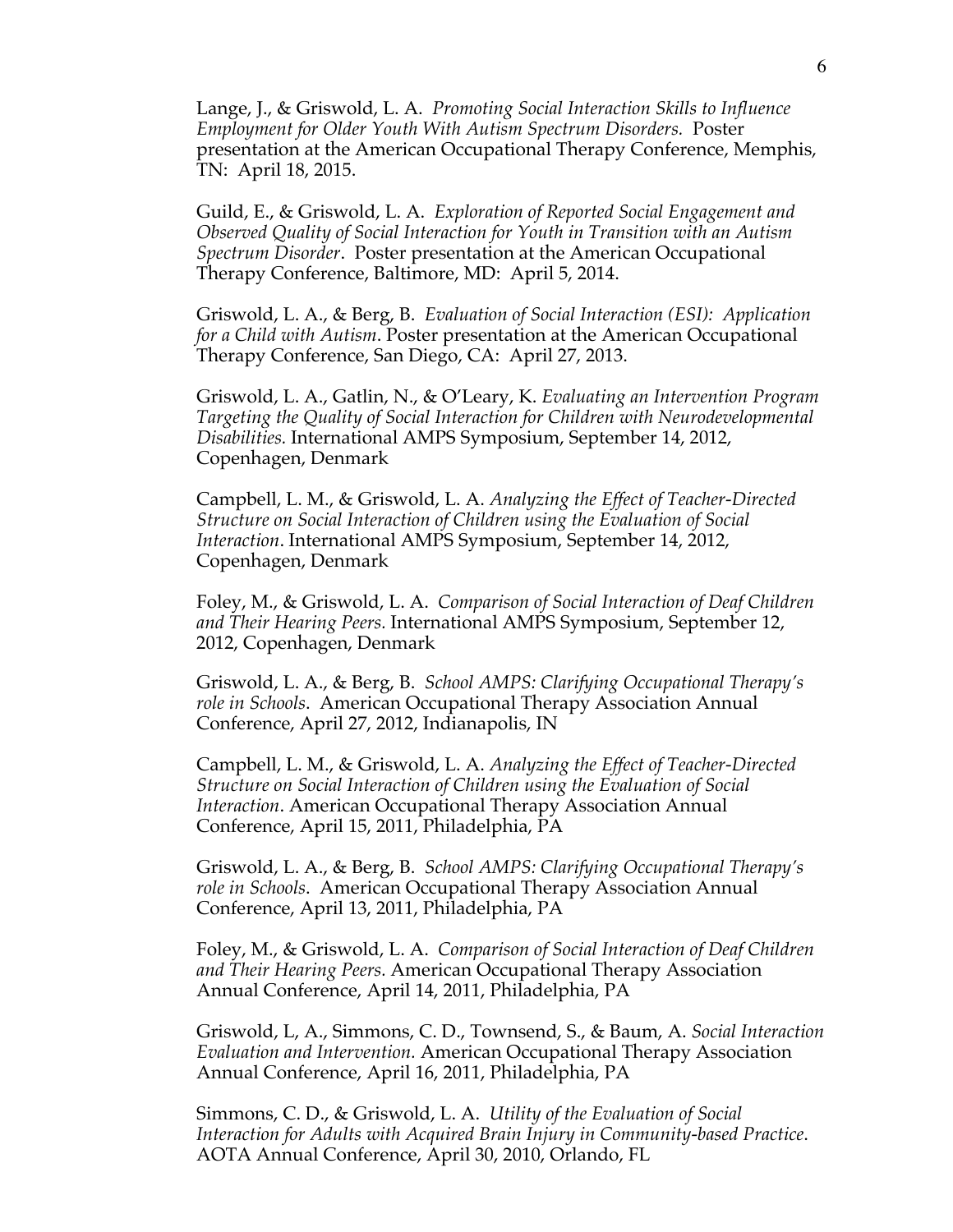Lange, J., & Griswold, L. A. *Promoting Social Interaction Skills to Influence Employment for Older Youth With Autism Spectrum Disorders.* Poster presentation at the American Occupational Therapy Conference, Memphis, TN: April 18, 2015.

Guild, E., & Griswold, L. A. *Exploration of Reported Social Engagement and Observed Quality of Social Interaction for Youth in Transition with an Autism Spectrum Disorder*. Poster presentation at the American Occupational Therapy Conference, Baltimore, MD: April 5, 2014.

Griswold, L. A., & Berg, B. *Evaluation of Social Interaction (ESI): Application for a Child with Autism*. Poster presentation at the American Occupational Therapy Conference, San Diego, CA: April 27, 2013.

Griswold, L. A., Gatlin, N., & O'Leary, K. *Evaluating an Intervention Program Targeting the Quality of Social Interaction for Children with Neurodevelopmental Disabilities.* International AMPS Symposium, September 14, 2012, Copenhagen, Denmark

Campbell, L. M., & Griswold, L. A. *Analyzing the Effect of Teacher-Directed Structure on Social Interaction of Children using the Evaluation of Social Interaction*. International AMPS Symposium, September 14, 2012, Copenhagen, Denmark

Foley, M., & Griswold, L. A. *Comparison of Social Interaction of Deaf Children and Their Hearing Peers.* International AMPS Symposium, September 12, 2012, Copenhagen, Denmark

Griswold, L. A., & Berg, B. *School AMPS: Clarifying Occupational Therapy's role in Schools*. American Occupational Therapy Association Annual Conference, April 27, 2012, Indianapolis, IN

Campbell, L. M., & Griswold, L. A. *Analyzing the Effect of Teacher-Directed Structure on Social Interaction of Children using the Evaluation of Social Interaction*. American Occupational Therapy Association Annual Conference, April 15, 2011, Philadelphia, PA

Griswold, L. A., & Berg, B. *School AMPS: Clarifying Occupational Therapy's role in Schools*. American Occupational Therapy Association Annual Conference, April 13, 2011, Philadelphia, PA

Foley, M., & Griswold, L. A. *Comparison of Social Interaction of Deaf Children and Their Hearing Peers.* American Occupational Therapy Association Annual Conference, April 14, 2011, Philadelphia, PA

Griswold, L, A., Simmons, C. D., Townsend, S., & Baum, A. *Social Interaction Evaluation and Intervention.* American Occupational Therapy Association Annual Conference, April 16, 2011, Philadelphia, PA

Simmons, C. D., & Griswold, L. A. *Utility of the Evaluation of Social Interaction for Adults with Acquired Brain Injury in Community-based Practice*. AOTA Annual Conference, April 30, 2010, Orlando, FL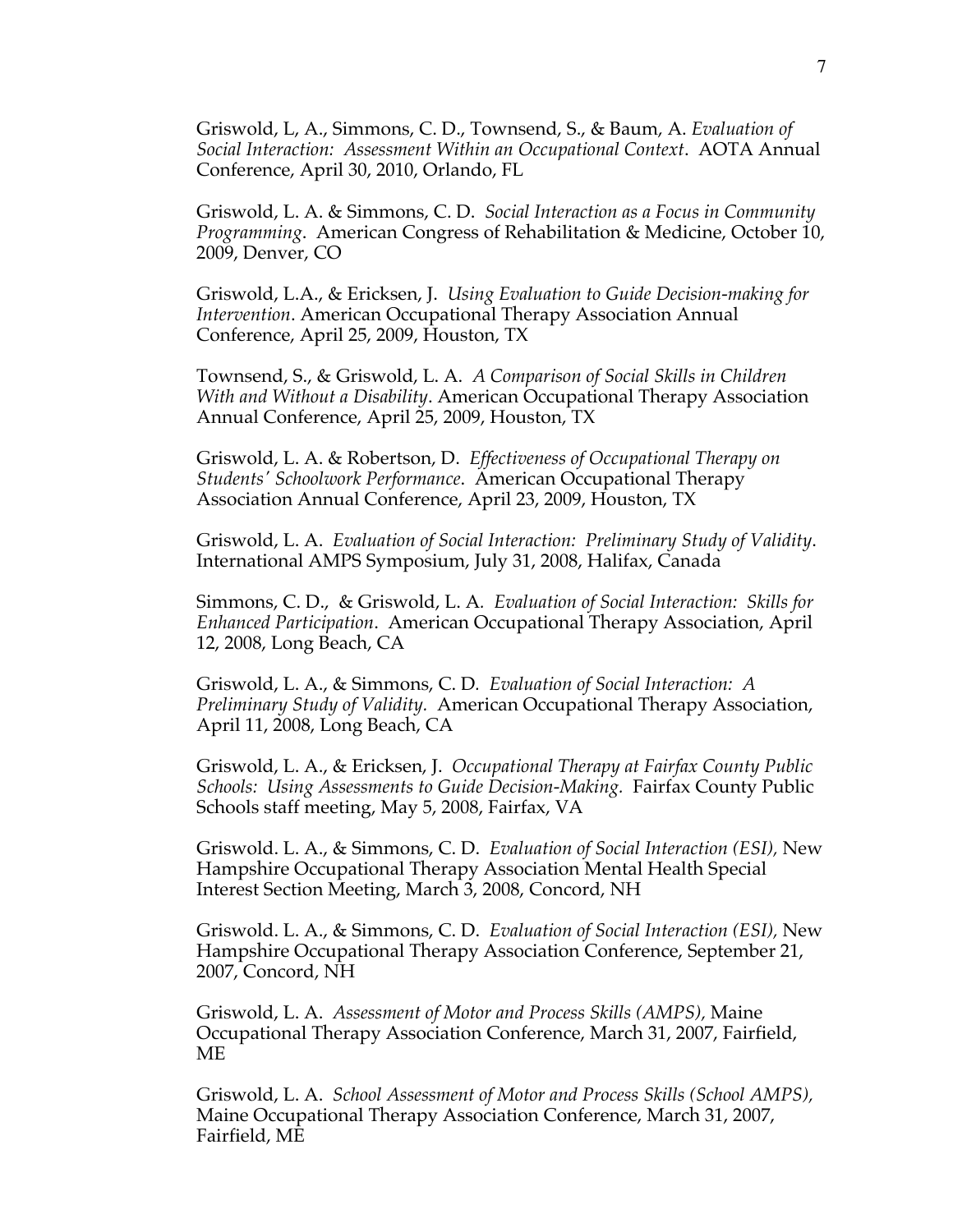Griswold, L, A., Simmons, C. D., Townsend, S., & Baum, A. *Evaluation of Social Interaction: Assessment Within an Occupational Context*. AOTA Annual Conference, April 30, 2010, Orlando, FL

Griswold, L. A. & Simmons, C. D. *Social Interaction as a Focus in Community Programming*. American Congress of Rehabilitation & Medicine, October 10, 2009, Denver, CO

Griswold, L.A., & Ericksen, J. *Using Evaluation to Guide Decision-making for Intervention*. American Occupational Therapy Association Annual Conference, April 25, 2009, Houston, TX

Townsend, S., & Griswold, L. A. *A Comparison of Social Skills in Children With and Without a Disability*. American Occupational Therapy Association Annual Conference, April 25, 2009, Houston, TX

Griswold, L. A. & Robertson, D. *Effectiveness of Occupational Therapy on Students' Schoolwork Performance*. American Occupational Therapy Association Annual Conference, April 23, 2009, Houston, TX

Griswold, L. A. *Evaluation of Social Interaction: Preliminary Study of Validity*. International AMPS Symposium, July 31, 2008, Halifax, Canada

Simmons, C. D., & Griswold, L. A*. Evaluation of Social Interaction: Skills for Enhanced Participation*. American Occupational Therapy Association, April 12, 2008, Long Beach, CA

Griswold, L. A., & Simmons, C. D*. Evaluation of Social Interaction: A Preliminary Study of Validity.* American Occupational Therapy Association, April 11, 2008, Long Beach, CA

Griswold, L. A., & Ericksen, J. *Occupational Therapy at Fairfax County Public Schools: Using Assessments to Guide Decision-Making.* Fairfax County Public Schools staff meeting, May 5, 2008, Fairfax, VA

Griswold. L. A., & Simmons, C. D. *Evaluation of Social Interaction (ESI),* New Hampshire Occupational Therapy Association Mental Health Special Interest Section Meeting, March 3, 2008, Concord, NH

Griswold. L. A., & Simmons, C. D. *Evaluation of Social Interaction (ESI),* New Hampshire Occupational Therapy Association Conference, September 21, 2007, Concord, NH

Griswold, L. A. *Assessment of Motor and Process Skills (AMPS),* Maine Occupational Therapy Association Conference, March 31, 2007, Fairfield, ME

Griswold, L. A. *School Assessment of Motor and Process Skills (School AMPS),* Maine Occupational Therapy Association Conference, March 31, 2007, Fairfield, ME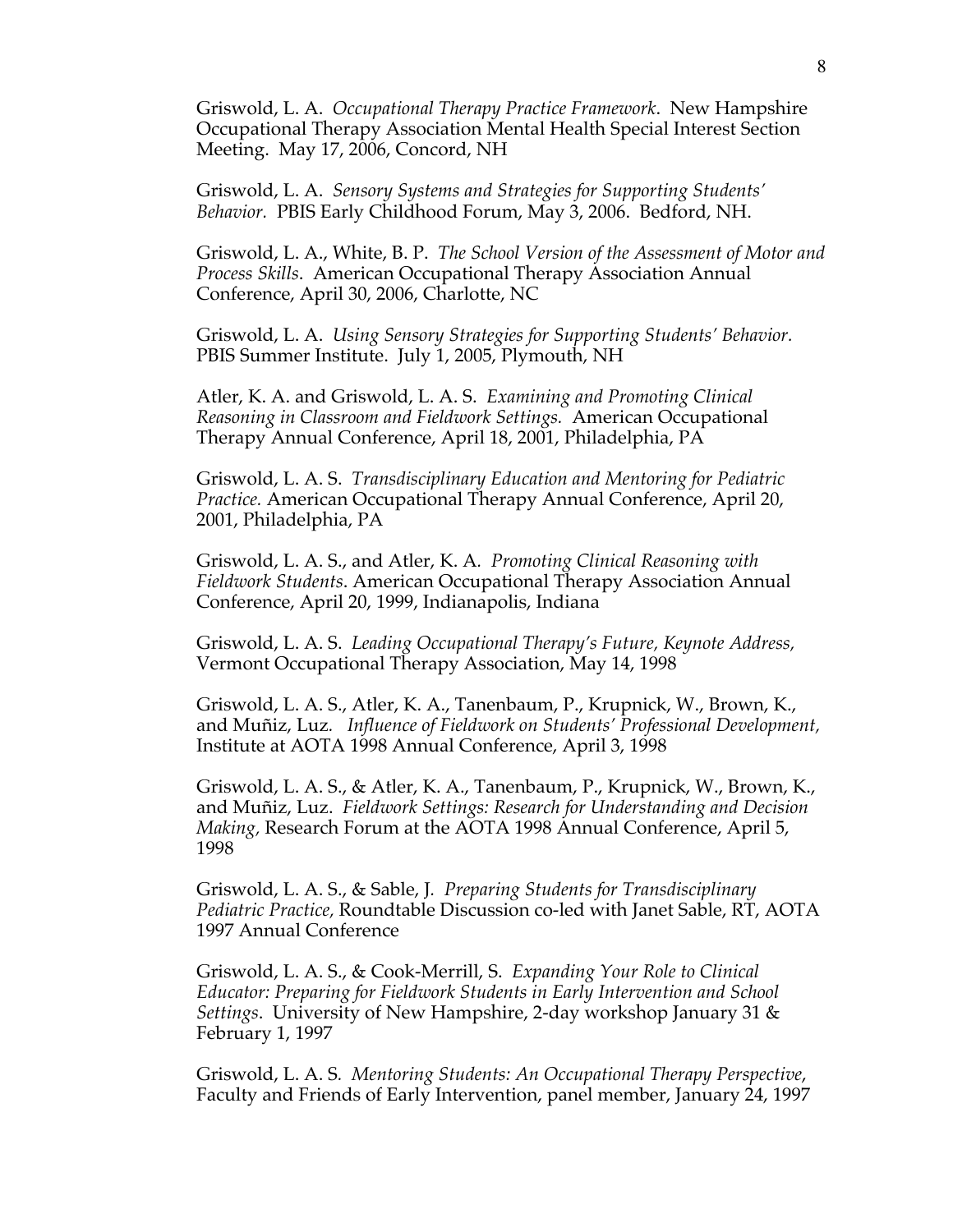Griswold, L. A. *Occupational Therapy Practice Framework*. New Hampshire Occupational Therapy Association Mental Health Special Interest Section Meeting. May 17, 2006, Concord, NH

Griswold, L. A. *Sensory Systems and Strategies for Supporting Students' Behavior.* PBIS Early Childhood Forum, May 3, 2006. Bedford, NH.

Griswold, L. A., White, B. P. *The School Version of the Assessment of Motor and Process Skills*. American Occupational Therapy Association Annual Conference, April 30, 2006, Charlotte, NC

Griswold, L. A. *Using Sensory Strategies for Supporting Students' Behavior.* PBIS Summer Institute. July 1, 2005, Plymouth, NH

Atler, K. A. and Griswold, L. A. S. *Examining and Promoting Clinical Reasoning in Classroom and Fieldwork Settings.* American Occupational Therapy Annual Conference, April 18, 2001, Philadelphia, PA

Griswold, L. A. S. *Transdisciplinary Education and Mentoring for Pediatric Practice.* American Occupational Therapy Annual Conference, April 20, 2001, Philadelphia, PA

Griswold, L. A. S., and Atler, K. A*. Promoting Clinical Reasoning with Fieldwork Students*. American Occupational Therapy Association Annual Conference, April 20, 1999, Indianapolis, Indiana

Griswold, L. A. S. *Leading Occupational Therapy's Future, Keynote Address,* Vermont Occupational Therapy Association, May 14, 1998

Griswold, L. A. S., Atler, K. A., Tanenbaum, P., Krupnick, W., Brown, K., and Muñiz, Luz*. Influence of Fieldwork on Students' Professional Development,* Institute at AOTA 1998 Annual Conference, April 3, 1998

Griswold, L. A. S., & Atler, K. A., Tanenbaum, P., Krupnick, W., Brown, K., and Muñiz, Luz. *Fieldwork Settings: Research for Understanding and Decision Making,* Research Forum at the AOTA 1998 Annual Conference, April 5, 1998

Griswold, L. A. S., & Sable, J*. Preparing Students for Transdisciplinary Pediatric Practice,* Roundtable Discussion co-led with Janet Sable, RT, AOTA 1997 Annual Conference

Griswold, L. A. S., & Cook-Merrill, S. *Expanding Your Role to Clinical Educator: Preparing for Fieldwork Students in Early Intervention and School Settings*. University of New Hampshire, 2-day workshop January 31 & February 1, 1997

Griswold, L. A. S*. Mentoring Students: An Occupational Therapy Perspective*, Faculty and Friends of Early Intervention, panel member, January 24, 1997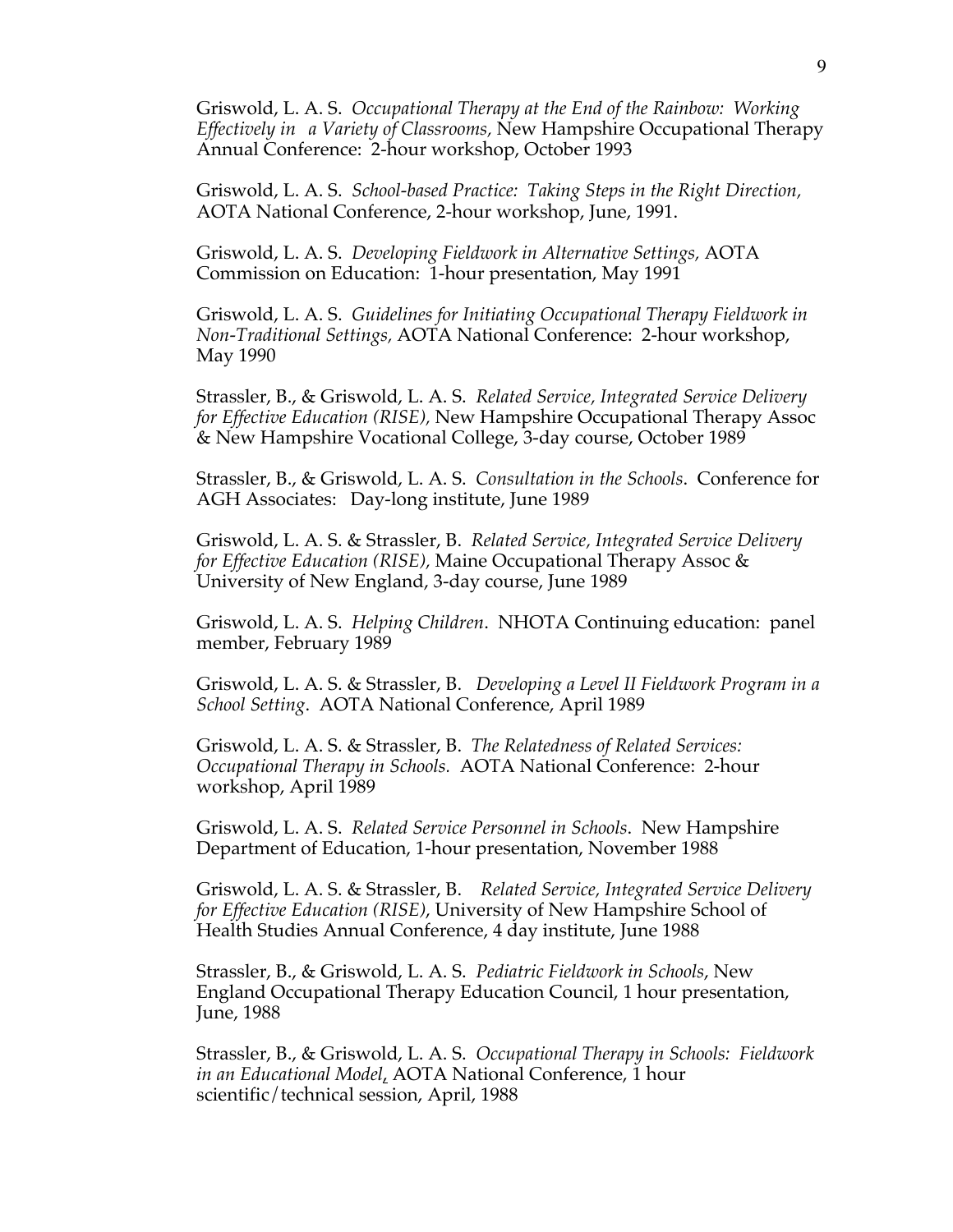Griswold, L. A. S. *Occupational Therapy at the End of the Rainbow: Working Effectively in a Variety of Classrooms,* New Hampshire Occupational Therapy Annual Conference: 2-hour workshop, October 1993

Griswold, L. A. S. *School-based Practice: Taking Steps in the Right Direction,* AOTA National Conference, 2-hour workshop, June, 1991.

Griswold, L. A. S. *Developing Fieldwork in Alternative Settings,* AOTA Commission on Education: 1-hour presentation, May 1991

Griswold, L. A. S. *Guidelines for Initiating Occupational Therapy Fieldwork in Non-Traditional Settings,* AOTA National Conference: 2-hour workshop, May 1990

Strassler, B., & Griswold, L. A. S. *Related Service, Integrated Service Delivery for Effective Education (RISE),* New Hampshire Occupational Therapy Assoc & New Hampshire Vocational College, 3-day course, October 1989

Strassler, B., & Griswold, L. A. S. *Consultation in the Schools*. Conference for AGH Associates: Day-long institute, June 1989

Griswold, L. A. S. & Strassler, B. *Related Service, Integrated Service Delivery for Effective Education (RISE),* Maine Occupational Therapy Assoc & University of New England, 3-day course, June 1989

Griswold, L. A. S. *Helping Children*. NHOTA Continuing education: panel member, February 1989

Griswold, L. A. S. & Strassler, B. *Developing a Level II Fieldwork Program in a School Setting*. AOTA National Conference, April 1989

Griswold, L. A. S. & Strassler, B. *The Relatedness of Related Services: Occupational Therapy in Schools.* AOTA National Conference: 2-hour workshop, April 1989

Griswold, L. A. S. *Related Service Personnel in Schools*. New Hampshire Department of Education, 1-hour presentation, November 1988

Griswold, L. A. S. & Strassler, B. *Related Service, Integrated Service Delivery for Effective Education (RISE)*, University of New Hampshire School of Health Studies Annual Conference, 4 day institute, June 1988

Strassler, B., & Griswold, L. A. S. *Pediatric Fieldwork in Schools*, New England Occupational Therapy Education Council, 1 hour presentation, June, 1988

Strassler, B., & Griswold, L. A. S. *Occupational Therapy in Schools: Fieldwork in an Educational Model*, AOTA National Conference, 1 hour scientific/technical session, April, 1988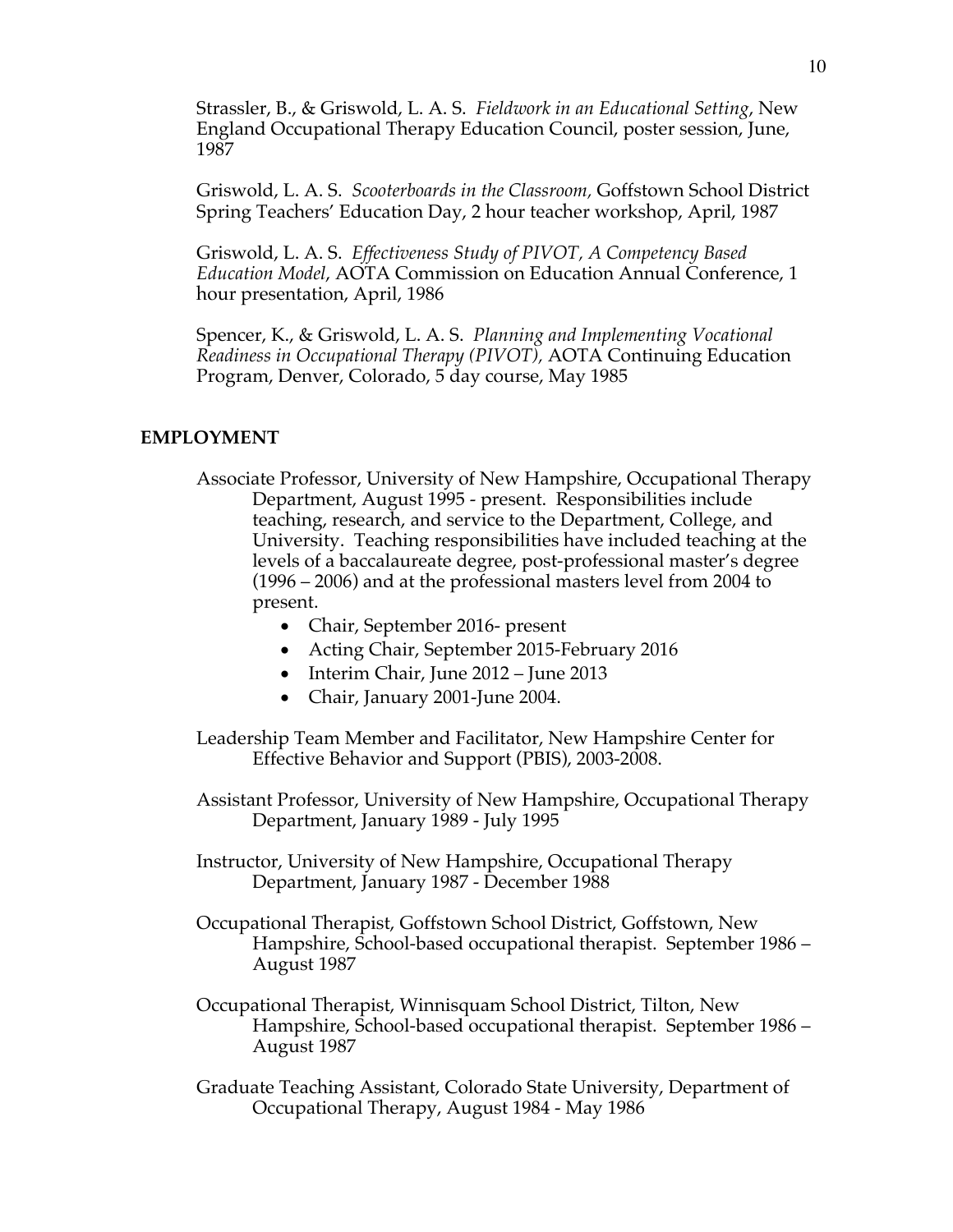Strassler, B., & Griswold, L. A. S. *Fieldwork in an Educational Setting*, New England Occupational Therapy Education Council, poster session, June, 1987

Griswold, L. A. S. *Scooterboards in the Classroom,* Goffstown School District Spring Teachers' Education Day, 2 hour teacher workshop, April, 1987

Griswold, L. A. S. *Effectiveness Study of PIVOT, A Competency Based Education Model*, AOTA Commission on Education Annual Conference, 1 hour presentation, April, 1986

Spencer, K., & Griswold, L. A. S. *Planning and Implementing Vocational Readiness in Occupational Therapy (PIVOT),* AOTA Continuing Education Program, Denver, Colorado, 5 day course, May 1985

### **EMPLOYMENT**

- Associate Professor, University of New Hampshire, Occupational Therapy Department, August 1995 - present. Responsibilities include teaching, research, and service to the Department, College, and University. Teaching responsibilities have included teaching at the levels of a baccalaureate degree, post-professional master's degree (1996 – 2006) and at the professional masters level from 2004 to present.
	- Chair, September 2016- present
	- Acting Chair, September 2015-February 2016
	- Interim Chair, June 2012 June 2013
	- Chair, January 2001-June 2004.
- Leadership Team Member and Facilitator, New Hampshire Center for Effective Behavior and Support (PBIS), 2003-2008.
- Assistant Professor, University of New Hampshire, Occupational Therapy Department, January 1989 - July 1995
- Instructor, University of New Hampshire, Occupational Therapy Department, January 1987 - December 1988
- Occupational Therapist, Goffstown School District, Goffstown, New Hampshire, School-based occupational therapist. September 1986 – August 1987
- Occupational Therapist, Winnisquam School District, Tilton, New Hampshire, School-based occupational therapist. September 1986 – August 1987
- Graduate Teaching Assistant, Colorado State University, Department of Occupational Therapy, August 1984 - May 1986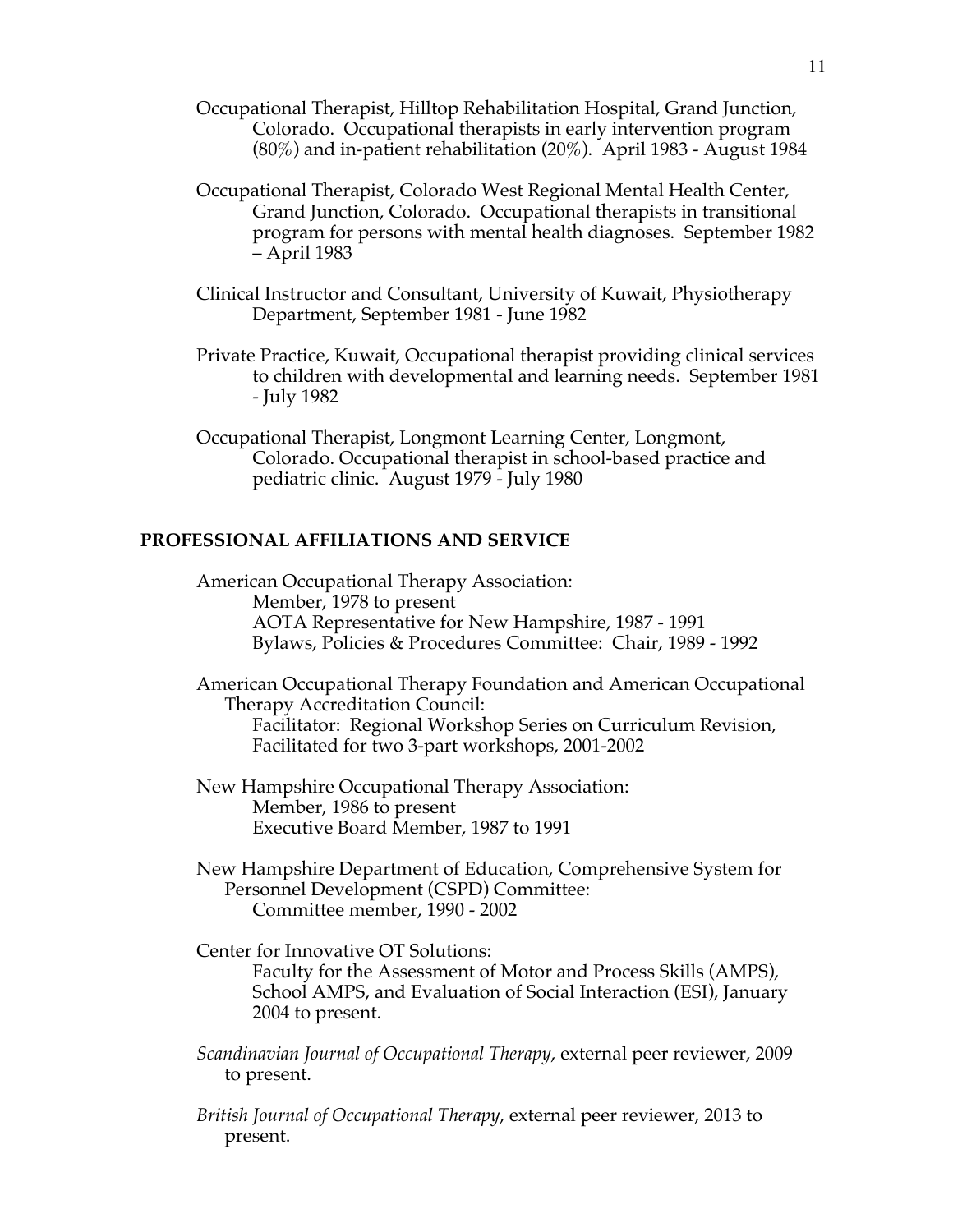- Occupational Therapist, Hilltop Rehabilitation Hospital, Grand Junction, Colorado. Occupational therapists in early intervention program (80%) and in-patient rehabilitation (20%). April 1983 - August 1984
- Occupational Therapist, Colorado West Regional Mental Health Center, Grand Junction, Colorado. Occupational therapists in transitional program for persons with mental health diagnoses. September 1982 – April 1983
- Clinical Instructor and Consultant, University of Kuwait, Physiotherapy Department, September 1981 - June 1982
- Private Practice, Kuwait, Occupational therapist providing clinical services to children with developmental and learning needs. September 1981 - July 1982
- Occupational Therapist, Longmont Learning Center, Longmont, Colorado. Occupational therapist in school-based practice and pediatric clinic. August 1979 - July 1980

### **PROFESSIONAL AFFILIATIONS AND SERVICE**

American Occupational Therapy Association: Member, 1978 to present AOTA Representative for New Hampshire, 1987 - 1991 Bylaws, Policies & Procedures Committee: Chair, 1989 - 1992

American Occupational Therapy Foundation and American Occupational Therapy Accreditation Council: Facilitator: Regional Workshop Series on Curriculum Revision, Facilitated for two 3-part workshops, 2001-2002

- New Hampshire Occupational Therapy Association: Member, 1986 to present Executive Board Member, 1987 to 1991
- New Hampshire Department of Education, Comprehensive System for Personnel Development (CSPD) Committee: Committee member, 1990 - 2002

Center for Innovative OT Solutions: Faculty for the Assessment of Motor and Process Skills (AMPS), School AMPS, and Evaluation of Social Interaction (ESI), January 2004 to present.

- *Scandinavian Journal of Occupational Therapy*, external peer reviewer, 2009 to present.
- *British Journal of Occupational Therapy*, external peer reviewer, 2013 to present.